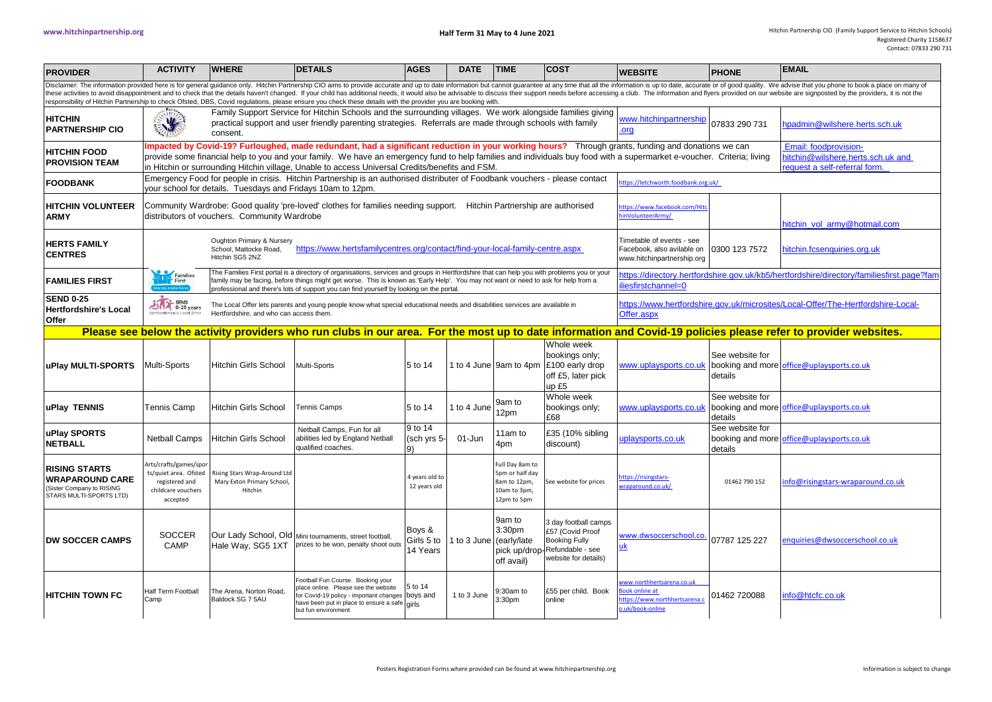| <b>PROVIDER</b>                                                                                                                                                                                                                                                                                                                                                                                                                                                                                                                                                                                                                  | <b>ACTIVITY</b>                                                                                     | <b>WHERE</b>                                                                                                                                                                                                                                                                                                                                                                                                                                                                                                                | <b>DETAILS</b>                                                                                                                                                                                  | <b>AGES</b>                                                                           | <b>DATE</b>   | <b>TIME</b>                                                                           | <b>COST</b>                                                                                                  | <b>WEBSITE</b>                                                                               | <b>PHONE</b>               | <b>EMAIL</b>                                                                                                                                                    |  |  |
|----------------------------------------------------------------------------------------------------------------------------------------------------------------------------------------------------------------------------------------------------------------------------------------------------------------------------------------------------------------------------------------------------------------------------------------------------------------------------------------------------------------------------------------------------------------------------------------------------------------------------------|-----------------------------------------------------------------------------------------------------|-----------------------------------------------------------------------------------------------------------------------------------------------------------------------------------------------------------------------------------------------------------------------------------------------------------------------------------------------------------------------------------------------------------------------------------------------------------------------------------------------------------------------------|-------------------------------------------------------------------------------------------------------------------------------------------------------------------------------------------------|---------------------------------------------------------------------------------------|---------------|---------------------------------------------------------------------------------------|--------------------------------------------------------------------------------------------------------------|----------------------------------------------------------------------------------------------|----------------------------|-----------------------------------------------------------------------------------------------------------------------------------------------------------------|--|--|
| Disclaimer: The information provided here is for general guidance only. Hitchin Partnership CIO aims to provide accurate and up to date information but cannot guarantee at any time that all the information is up to date, a<br>these activities to avoid disappointment and to check that the details haven't changed. If your child has additional needs, it would also be advisable to discuss their support needs before accessing a club. The information<br>responsibility of Hitchin Partnership to check Ofsted, DBS, Covid regulations, please ensure you check these details with the provider you are booking with. |                                                                                                     |                                                                                                                                                                                                                                                                                                                                                                                                                                                                                                                             |                                                                                                                                                                                                 |                                                                                       |               |                                                                                       |                                                                                                              |                                                                                              |                            |                                                                                                                                                                 |  |  |
| <b>HITCHIN</b><br><b>PARTNERSHIP CIO</b>                                                                                                                                                                                                                                                                                                                                                                                                                                                                                                                                                                                         | $\frac{1}{2}$                                                                                       | npadmin@wilshere.herts.sch.uk                                                                                                                                                                                                                                                                                                                                                                                                                                                                                               |                                                                                                                                                                                                 |                                                                                       |               |                                                                                       |                                                                                                              |                                                                                              |                            |                                                                                                                                                                 |  |  |
| <b>HITCHIN FOOD</b><br><b>PROVISION TEAM</b>                                                                                                                                                                                                                                                                                                                                                                                                                                                                                                                                                                                     |                                                                                                     | mpacted by Covid-19? Furloughed, made redundant, had a significant reduction in your working hours? Through grants, funding and donations we can<br>Email: foodprovision-<br>provide some financial help to you and your family. We have an emergency fund to help families and individuals buy food with a supermarket e-voucher. Criteria; living<br>nitchin@wilshere.herts.sch.uk and<br>in Hitchin or surrounding Hitchin village, Unable to access Universal Credits/benefits and FSM.<br>equest a self-referral form. |                                                                                                                                                                                                 |                                                                                       |               |                                                                                       |                                                                                                              |                                                                                              |                            |                                                                                                                                                                 |  |  |
| <b>FOODBANK</b>                                                                                                                                                                                                                                                                                                                                                                                                                                                                                                                                                                                                                  |                                                                                                     | Emergency Food for people in crisis. Hitchin Partnership is an authorised distributer of Foodbank vouchers - please contact<br>tps://letchworth.foodbank.org.uk/<br>your school for details. Tuesdays and Fridays 10am to 12pm.                                                                                                                                                                                                                                                                                             |                                                                                                                                                                                                 |                                                                                       |               |                                                                                       |                                                                                                              |                                                                                              |                            |                                                                                                                                                                 |  |  |
| <b>HITCHIN VOLUNTEER</b><br><b>ARMY</b>                                                                                                                                                                                                                                                                                                                                                                                                                                                                                                                                                                                          |                                                                                                     | Community Wardrobe: Good quality 'pre-loved' clothes for families needing support. Hitchin Partnership are authorised<br>ttps://www.facebook.com/Hit<br>distributors of vouchers. Community Wardrobe<br>inVolunteerArmy/<br>hitchin vol armv@hotmail.com                                                                                                                                                                                                                                                                    |                                                                                                                                                                                                 |                                                                                       |               |                                                                                       |                                                                                                              |                                                                                              |                            |                                                                                                                                                                 |  |  |
| <b>HERTS FAMILY</b><br><b>CENTRES</b>                                                                                                                                                                                                                                                                                                                                                                                                                                                                                                                                                                                            |                                                                                                     | Oughton Primary & Nursery<br>School, Mattocke Road,<br>Hitchin SG5 2NZ                                                                                                                                                                                                                                                                                                                                                                                                                                                      | https://www.hertsfamilycentres.org/contact/find-your-local-family-centre.aspx                                                                                                                   | Timetable of events - see<br>Facebook, also avilable on<br>www.hitchinpartnership.org | 0300 123 7572 | hitchin.fcsenauiries.ora.uk                                                           |                                                                                                              |                                                                                              |                            |                                                                                                                                                                 |  |  |
| <b>FAMILIES FIRST</b>                                                                                                                                                                                                                                                                                                                                                                                                                                                                                                                                                                                                            | Families                                                                                            | The Families First portal is a directory of organisations, services and groups in Hertfordshire that can help you with problems you or your<br>ttps://directory.hertfordshire.gov.uk/kb5/hertfordshire/directory/familiesfirst.page?fam<br>family may be facing, before things might get worse. This is known as 'Early Help'. You may not want or need to ask for help from a<br>iesfirstchannel=0<br>rofessional and there's lots of support you can find yourself by looking on the portal.                              |                                                                                                                                                                                                 |                                                                                       |               |                                                                                       |                                                                                                              |                                                                                              |                            |                                                                                                                                                                 |  |  |
| <b>SEND 0-25</b><br><b>Hertfordshire's Local</b><br>Offer                                                                                                                                                                                                                                                                                                                                                                                                                                                                                                                                                                        | SEND<br>0-25 years<br>Hertfordshire's Local Difer                                                   | Hertfordshire, and who can access them.                                                                                                                                                                                                                                                                                                                                                                                                                                                                                     | The Local Offer lets parents and young people know what special educational needs and disabilities services are available in                                                                    | Offer.aspx                                                                            |               | ttps://www.hertfordshire.gov.uk/microsites/Local-Offer/The-Hertfordshire-Local-       |                                                                                                              |                                                                                              |                            |                                                                                                                                                                 |  |  |
|                                                                                                                                                                                                                                                                                                                                                                                                                                                                                                                                                                                                                                  |                                                                                                     |                                                                                                                                                                                                                                                                                                                                                                                                                                                                                                                             |                                                                                                                                                                                                 |                                                                                       |               |                                                                                       |                                                                                                              |                                                                                              |                            | Please see below the activity providers who run clubs in our area. For the most up to date information and Covid-19 policies please refer to provider websites. |  |  |
| uPlay MULTI-SPORTS                                                                                                                                                                                                                                                                                                                                                                                                                                                                                                                                                                                                               | Multi-Sports                                                                                        | <b>Hitchin Girls School</b>                                                                                                                                                                                                                                                                                                                                                                                                                                                                                                 | <b>Multi-Sports</b>                                                                                                                                                                             | 5 to 14                                                                               |               |                                                                                       | Whole week<br>bookings only;<br>1 to 4 June 9am to 4pm £100 early drop<br>off £5, later pick<br>up £5        | www.uplaysports.co.uk                                                                        | See website for<br>details | booking and more office@uplaysports.co.uk                                                                                                                       |  |  |
| <b>uPlay TENNIS</b>                                                                                                                                                                                                                                                                                                                                                                                                                                                                                                                                                                                                              | <b>Tennis Camp</b>                                                                                  | Hitchin Girls School                                                                                                                                                                                                                                                                                                                                                                                                                                                                                                        | <b>Tennis Camps</b>                                                                                                                                                                             | 5 to 14                                                                               | 1 to 4 June   | 9am to<br>12pm                                                                        | Whole week<br>bookings only;<br>£68                                                                          | www.uplaysports.co.uk                                                                        | See website for<br>details | booking and more office@uplaysports.co.uk                                                                                                                       |  |  |
| uPlay SPORTS<br><b>NETBALL</b>                                                                                                                                                                                                                                                                                                                                                                                                                                                                                                                                                                                                   | <b>Netball Camps</b>                                                                                | <b>Hitchin Girls School</b>                                                                                                                                                                                                                                                                                                                                                                                                                                                                                                 | Netball Camps, Fun for all<br>abilities led by England Netball<br>qualified coaches.                                                                                                            | 9 to 14<br>(sch yrs 5-<br>9)                                                          | 01-Jun        | 11am to<br>4pm                                                                        | £35 (10% sibling<br>discount)                                                                                | uplaysports.co.uk                                                                            | See website for<br>details | booking and more office@uplaysports.co.uk                                                                                                                       |  |  |
| <b>RISING STARTS</b><br><b>WRAPAROUND CARE</b><br>(Sister Company to RISING<br>STARS MULTI-SPORTS LTD)                                                                                                                                                                                                                                                                                                                                                                                                                                                                                                                           | Arts/crafts/games/spor<br>ts/quiet area. Ofsted<br>registered and<br>childcare vouchers<br>accepted | Rising Stars Wrap-Around Ltd<br>Mary Exton Primary School,<br>Hitchin                                                                                                                                                                                                                                                                                                                                                                                                                                                       |                                                                                                                                                                                                 | 4 years old to<br>12 years old                                                        |               | Full Day 8am to<br>5pm or half day<br>8am to 12pm,<br>10am to 3pm,<br>12pm to 5pm     | See website for prices                                                                                       | ttps://risingstars-<br>raparound.co.uk/                                                      | 01462 790 152              | nfo@risingstars-wraparound.co.uk                                                                                                                                |  |  |
| <b>DW SOCCER CAMPS</b>                                                                                                                                                                                                                                                                                                                                                                                                                                                                                                                                                                                                           | <b>SOCCER</b><br>CAMP                                                                               | Hale Way, SG5 1XT                                                                                                                                                                                                                                                                                                                                                                                                                                                                                                           | Our Lady School, Old Mini tournaments, street football,<br>prizes to be won, penalty shoot outs                                                                                                 | Boys &<br>Girls 5 to<br>14 Years                                                      |               | 9am to<br>3:30 <sub>pm</sub><br>1 to 3 June (early/late<br>pick up/drop<br>off avail) | 3 day football camps<br>£57 (Covid Proof<br><b>Booking Fully</b><br>Refundable - see<br>website for details) | www.dwsoccerschool.co.<br>uk                                                                 | 07787 125 227              | enquiries@dwsoccerschool.co.uk                                                                                                                                  |  |  |
| <b>HITCHIN TOWN FC</b>                                                                                                                                                                                                                                                                                                                                                                                                                                                                                                                                                                                                           | Half Term Football<br>Camp                                                                          | The Arena, Norton Road,<br>Baldock SG 7 5AU                                                                                                                                                                                                                                                                                                                                                                                                                                                                                 | Football Fun Course. Booking your<br>place online. Please see the website<br>for Covid-19 policy - important changes boys and<br>have been put in place to ensure a safe<br>but fun environment | 5 to 14<br><b>airls</b>                                                               | 1 to 3 June   | 9:30am to<br>3:30pm                                                                   | £55 per child. Book<br>online                                                                                | ww.northhertsarena.co.uk<br>ook online at<br>ttps://www.northhertsarena.c<br>.uk/book-online | 01462720088                | info@htcfc.co.uk                                                                                                                                                |  |  |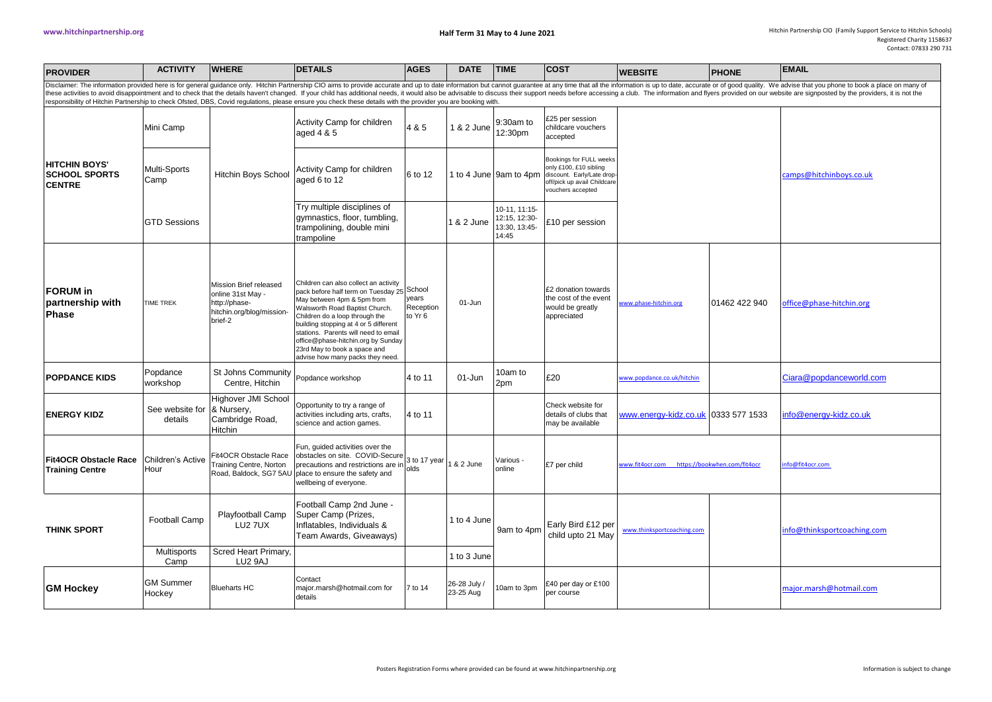| <b>PROVIDER</b>                                                                                                                                                                                                                                                                                                                                                                                                                                                                                                                                                                                                                  | <b>ACTIVITY WHERE</b>                      |                                                                                                      | <b>DETAILS</b>                                                                                                                                                                                                                                                                                                                                                                   | <b>AGES</b>                   | <b>DATE</b>               | <b>TIME</b>                                              | <b>COST</b>                                                                                                                         | <b>WEBSITE</b>                               | <b>PHONE</b>  | <b>EMAIL</b>               |
|----------------------------------------------------------------------------------------------------------------------------------------------------------------------------------------------------------------------------------------------------------------------------------------------------------------------------------------------------------------------------------------------------------------------------------------------------------------------------------------------------------------------------------------------------------------------------------------------------------------------------------|--------------------------------------------|------------------------------------------------------------------------------------------------------|----------------------------------------------------------------------------------------------------------------------------------------------------------------------------------------------------------------------------------------------------------------------------------------------------------------------------------------------------------------------------------|-------------------------------|---------------------------|----------------------------------------------------------|-------------------------------------------------------------------------------------------------------------------------------------|----------------------------------------------|---------------|----------------------------|
| Disclaimer: The information provided here is for general guidance only. Hitchin Partnership CIO aims to provide accurate and up to date information but cannot guarantee at any time that all the information is up to date, a<br>these activities to avoid disappointment and to check that the details haven't changed. If your child has additional needs, it would also be advisable to discuss their support needs before accessing a club. The information<br>responsibility of Hitchin Partnership to check Ofsted, DBS, Covid regulations, please ensure you check these details with the provider you are booking with. |                                            |                                                                                                      |                                                                                                                                                                                                                                                                                                                                                                                  |                               |                           |                                                          |                                                                                                                                     |                                              |               |                            |
|                                                                                                                                                                                                                                                                                                                                                                                                                                                                                                                                                                                                                                  | Mini Camp                                  | Activity Camp for children<br>aged 4 & 5                                                             | 4 & 5                                                                                                                                                                                                                                                                                                                                                                            | 1 & 2 June                    | 9:30am to<br>12:30pm      | £25 per session<br>childcare vouchers<br>accepted        |                                                                                                                                     |                                              |               |                            |
| <b>HITCHIN BOYS'</b><br><b>SCHOOL SPORTS</b><br><b>CENTRE</b>                                                                                                                                                                                                                                                                                                                                                                                                                                                                                                                                                                    | Multi-Sports<br>Camp                       | <b>Hitchin Boys School</b>                                                                           | <b>Activity Camp for children</b><br>aged 6 to 12                                                                                                                                                                                                                                                                                                                                | 6 to 12                       |                           | 1 to 4 June 9am to 4pm                                   | Bookings for FULL weeks<br>only £100, £10 sibling<br>discount. Early/Late drop-<br>off/pick up avail Childcare<br>vouchers accepted |                                              |               | camps@hitchinboys.co.uk    |
|                                                                                                                                                                                                                                                                                                                                                                                                                                                                                                                                                                                                                                  | <b>GTD Sessions</b>                        |                                                                                                      | Try multiple disciplines of<br>gymnastics, floor, tumbling,<br>trampolining, double mini<br>trampoline                                                                                                                                                                                                                                                                           |                               | 1 & 2 June                | 10-11, 11:15-<br>12:15, 12:30-<br>13:30, 13:45-<br>14:45 | £10 per session                                                                                                                     |                                              |               |                            |
| <b>FORUM</b> in<br>partnership with<br>Phase                                                                                                                                                                                                                                                                                                                                                                                                                                                                                                                                                                                     | <b>TIME TREK</b>                           | Mission Brief released<br>online 31st May -<br>http://phase-<br>hitchin.org/blog/mission-<br>brief-2 | Children can also collect an activity<br>pack before half term on Tuesday 25 School<br>May between 4pm & 5pm from<br>Walsworth Road Baptist Church.<br>Children do a loop through the<br>building stopping at 4 or 5 different<br>stations. Parents will need to email<br>office@phase-hitchin.org by Sunday<br>23rd May to book a space and<br>advise how many packs they need. | years<br>Reception<br>to Yr 6 | 01-Jun                    |                                                          | £2 donation towards<br>the cost of the event<br>would be greatly<br>appreciated                                                     | www.phase-hitchin.org                        | 01462 422 940 | office@phase-hitchin.org   |
| <b>POPDANCE KIDS</b>                                                                                                                                                                                                                                                                                                                                                                                                                                                                                                                                                                                                             | Popdance<br>workshop                       | St Johns Community<br>Centre, Hitchin                                                                | Popdance workshop                                                                                                                                                                                                                                                                                                                                                                | 4 to 11                       | 01-Jun                    | 10am to<br>2pm                                           | £20                                                                                                                                 | www.popdance.co.uk/hitchin                   |               | Ciara@popdanceworld.com    |
| <b>ENERGY KIDZ</b>                                                                                                                                                                                                                                                                                                                                                                                                                                                                                                                                                                                                               | See website for<br>details                 | Highover JMI School<br>& Nursery,<br>Cambridge Road,<br>Hitchin                                      | Opportunity to try a range of<br>activities including arts, crafts,<br>science and action games.                                                                                                                                                                                                                                                                                 | 4 to 11                       |                           |                                                          | Check website for<br>details of clubs that<br>may be available                                                                      | www.energy-kidz.co.uk                        | 0333 577 1533 | nfo@energy-kidz.co.uk      |
| <b>Fit4OCR Obstacle Race</b><br><b>Training Centre</b>                                                                                                                                                                                                                                                                                                                                                                                                                                                                                                                                                                           | Children's Active<br>Hour                  | Fit4OCR Obstacle Race<br>Training Centre, Norton<br>Road, Baldock, SG7 5AU                           | Fun, guided activities over the<br>Turi, guide described to COVID-Secure<br>obstacles on site. COVID-Secure 3 to 17 year<br>precautions and restrictions are in olds<br>place to ensure the safety and<br>wellbeing of everyone.                                                                                                                                                 |                               | 1 & 2 June                | Various -<br>online                                      | £7 per child                                                                                                                        | www.fit4ocr.com https://bookwhen.com/fit4ocr |               | nfo@fit4ocr.com            |
| <b>THINK SPORT</b>                                                                                                                                                                                                                                                                                                                                                                                                                                                                                                                                                                                                               | <b>Football Camp</b><br><b>Multisports</b> | Playfootball Camp<br>LU2 7UX<br>Scred Heart Primary,                                                 | Football Camp 2nd June -<br>Super Camp (Prizes,<br>Inflatables, Individuals &<br>Team Awards, Giveaways)                                                                                                                                                                                                                                                                         |                               | 1 to 4 June               | 9am to 4pm                                               | Early Bird £12 per<br>child upto 21 May                                                                                             | www.thinksportcoaching.com                   |               | nfo@thinksportcoaching.com |
|                                                                                                                                                                                                                                                                                                                                                                                                                                                                                                                                                                                                                                  | Camp                                       | LU2 9AJ                                                                                              |                                                                                                                                                                                                                                                                                                                                                                                  |                               | 1 to 3 June               |                                                          |                                                                                                                                     |                                              |               |                            |
| <b>GM Hockey</b>                                                                                                                                                                                                                                                                                                                                                                                                                                                                                                                                                                                                                 | <b>GM Summer</b><br>Hockey                 | <b>Blueharts HC</b>                                                                                  | Contact<br>major.marsh@hotmail.com for<br>details                                                                                                                                                                                                                                                                                                                                | 7 to 14                       | 26-28 July /<br>23-25 Aug | 10am to 3pm                                              | £40 per day or £100<br>per course                                                                                                   |                                              |               | maior.marsh@hotmail.com    |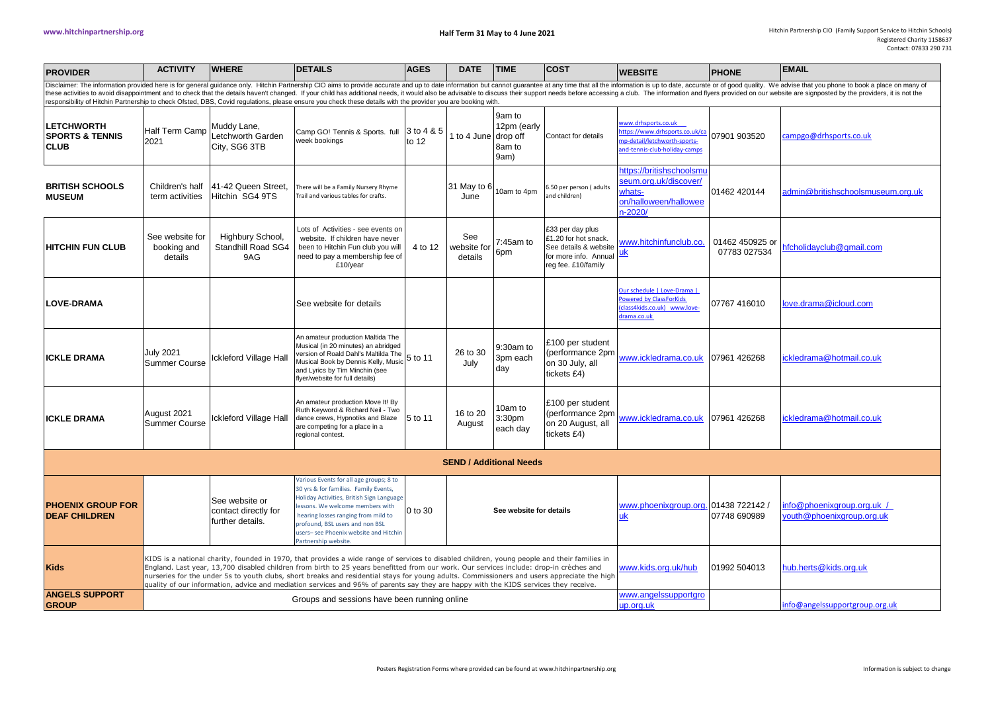| <b>PROVIDER</b>                                                                                                                                                                                                                                                                                                                                                                                                                                                                                                                                                                                                                  | <b>ACTIVITY</b>                                                                                                                                                                                                                                                                                                                                                                                                                                                                                                                                                                | <b>WHERE</b>                                               | <b>DETAILS</b>                                                                                                                                                                                                                                                                                              | <b>AGES</b>                       | <b>DATE</b>                   | <b>TIME</b>                             | <b>COST</b>                                                                                                       | <b>WEBSITE</b>                                                                                                       | <b>PHONE</b>                    | <b>EMAIL</b>                                            |
|----------------------------------------------------------------------------------------------------------------------------------------------------------------------------------------------------------------------------------------------------------------------------------------------------------------------------------------------------------------------------------------------------------------------------------------------------------------------------------------------------------------------------------------------------------------------------------------------------------------------------------|--------------------------------------------------------------------------------------------------------------------------------------------------------------------------------------------------------------------------------------------------------------------------------------------------------------------------------------------------------------------------------------------------------------------------------------------------------------------------------------------------------------------------------------------------------------------------------|------------------------------------------------------------|-------------------------------------------------------------------------------------------------------------------------------------------------------------------------------------------------------------------------------------------------------------------------------------------------------------|-----------------------------------|-------------------------------|-----------------------------------------|-------------------------------------------------------------------------------------------------------------------|----------------------------------------------------------------------------------------------------------------------|---------------------------------|---------------------------------------------------------|
| Disclaimer: The information provided here is for general guidance only. Hitchin Partnership CIO aims to provide accurate and up to date information but cannot guarantee at any time that all the information is up to date, a<br>these activities to avoid disappointment and to check that the details haven't changed. If your child has additional needs, it would also be advisable to discuss their support needs before accessing a club. The information<br>responsibility of Hitchin Partnership to check Ofsted, DBS, Covid regulations, please ensure you check these details with the provider you are booking with. |                                                                                                                                                                                                                                                                                                                                                                                                                                                                                                                                                                                |                                                            |                                                                                                                                                                                                                                                                                                             |                                   |                               |                                         |                                                                                                                   |                                                                                                                      |                                 |                                                         |
| <b>LETCHWORTH</b><br><b>SPORTS &amp; TENNIS</b><br><b>CLUB</b>                                                                                                                                                                                                                                                                                                                                                                                                                                                                                                                                                                   | <b>Half Term Camp</b><br>2021                                                                                                                                                                                                                                                                                                                                                                                                                                                                                                                                                  | Muddy Lane,<br>Letchworth Garden<br>City, SG6 3TB          | Camp GO! Tennis & Sports. full<br>week bookings                                                                                                                                                                                                                                                             | 3 to 4 & 5<br>to 12               | 1 to 4 June drop off          | 9am to<br>12pm (early<br>8am to<br>9am) | Contact for details                                                                                               | www.drhsports.co.uk<br>ttps://www.drhsports.co.uk/ca<br>np-detail/letchworth-sports-<br>nd-tennis-club-holiday-camps | 07901 903520                    | campgo@drhsports.co.uk                                  |
| <b>BRITISH SCHOOLS</b><br><b>MUSEUM</b>                                                                                                                                                                                                                                                                                                                                                                                                                                                                                                                                                                                          | Children's half<br>term activities                                                                                                                                                                                                                                                                                                                                                                                                                                                                                                                                             | 41-42 Queen Street.<br>Hitchin SG4 9TS                     | There will be a Family Nursery Rhyme<br>Trail and various tables for crafts.                                                                                                                                                                                                                                |                                   | 31 May to 6<br>June           | 10am to 4pm                             | 6.50 per person (adults<br>and children)                                                                          | https://britishschoolsmu<br>seum.org.uk/discover/<br>whats-<br>on/halloween/hallowee<br>n-2020                       | 01462 420144                    | admin@britishschoolsmuseum.org.uk                       |
| <b>HITCHIN FUN CLUB</b>                                                                                                                                                                                                                                                                                                                                                                                                                                                                                                                                                                                                          | See website for<br>booking and<br>details                                                                                                                                                                                                                                                                                                                                                                                                                                                                                                                                      | Highbury School,<br>Standhill Road SG4<br>9AG              | Lots of Activities - see events on<br>website. If children have never<br>been to Hitchin Fun club you will<br>need to pay a membership fee of<br>£10/year                                                                                                                                                   | 4 to 12                           | See<br>website for<br>details | 7:45am to<br>6pm                        | £33 per day plus<br>£1.20 for hot snack.<br>See details & website<br>for more info. Annual<br>reg fee. £10/family | www.hitchinfunclub.co.<br><u>uk</u>                                                                                  | 01462 450925 or<br>07783 027534 | nfcholidayclub@gmail.com                                |
| <b>ILOVE-DRAMA</b>                                                                                                                                                                                                                                                                                                                                                                                                                                                                                                                                                                                                               |                                                                                                                                                                                                                                                                                                                                                                                                                                                                                                                                                                                |                                                            | See website for details                                                                                                                                                                                                                                                                                     |                                   |                               |                                         |                                                                                                                   | Our schedule   Love-Drama  <br>Powered by ClassForKids<br>(class4kids.co.uk) www.love-<br>drama.co.uk                | 07767 416010                    | love.drama@icloud.com                                   |
| <b>ICKLE DRAMA</b>                                                                                                                                                                                                                                                                                                                                                                                                                                                                                                                                                                                                               | July 2021<br>Summer Course                                                                                                                                                                                                                                                                                                                                                                                                                                                                                                                                                     | ckleford Village Hall                                      | An amateur production Maltida The<br>Musical (in 20 minutes) an abridged<br>version of Roald Dahl's Maltilda The<br>Musical Book by Dennis Kelly, Music<br>and Lyrics by Tim Minchin (see<br>flyer/website for full details)                                                                                | 5 to 11                           | 26 to 30<br>July              | 9:30am to<br>3pm each<br>day            | £100 per student<br>(performance 2pm<br>on 30 July, all<br>tickets £4)                                            | www.ickledrama.co.uk                                                                                                 | 07961 426268                    | ickledrama@hotmail.co.uk                                |
| IICKLE DRAMA                                                                                                                                                                                                                                                                                                                                                                                                                                                                                                                                                                                                                     | August 2021<br><b>Summer Course</b>                                                                                                                                                                                                                                                                                                                                                                                                                                                                                                                                            | lckleford Village Hall                                     | An amateur production Move It! By<br>Ruth Keyword & Richard Neil - Two<br>dance crews, Hypnotiks and Blaze<br>are competing for a place in a<br>regional contest.                                                                                                                                           | 5 to 11                           | 16 to 20<br>August            | 10am to<br>3:30pm<br>each day           | £100 per student<br>(performance 2pm<br>on 20 August, all<br>tickets £4)                                          | www.ickledrama.co.uk   07961 426268                                                                                  |                                 | ickledrama@hotmail.co.uk                                |
| <b>SEND / Additional Needs</b>                                                                                                                                                                                                                                                                                                                                                                                                                                                                                                                                                                                                   |                                                                                                                                                                                                                                                                                                                                                                                                                                                                                                                                                                                |                                                            |                                                                                                                                                                                                                                                                                                             |                                   |                               |                                         |                                                                                                                   |                                                                                                                      |                                 |                                                         |
| <b>PHOENIX GROUP FOR</b><br><b>DEAF CHILDREN</b>                                                                                                                                                                                                                                                                                                                                                                                                                                                                                                                                                                                 |                                                                                                                                                                                                                                                                                                                                                                                                                                                                                                                                                                                | See website or<br>contact directly for<br>further details. | Various Events for all age groups; 8 to<br>30 yrs & for families. Family Events,<br>Holiday Activities, British Sign Language<br>essons. We welcome members with<br>hearing losses ranging from mild to<br>profound, BSL users and non BSL<br>users-see Phoenix website and Hitchir<br>Partnership website. | 0 to 30                           |                               | See website for details                 |                                                                                                                   | www.phoenixgroup.org. 01438 722142 /<br>uk                                                                           | 07748 690989                    | info@phoenixgroup.org.uk /<br>youth@phoenixgroup.org.uk |
| <b>Kids</b>                                                                                                                                                                                                                                                                                                                                                                                                                                                                                                                                                                                                                      | KIDS is a national charity, founded in 1970, that provides a wide range of services to disabled children, young people and their families in<br>England. Last year, 13,700 disabled children from birth to 25 years benefitted from our work. Our services include: drop-in crèches and<br>nurseries for the under 5s to youth clubs, short breaks and residential stays for young adults. Commissioners and users appreciate the high<br>quality of our information, advice and mediation services and 96% of parents say they are happy with the KIDS services they receive. |                                                            |                                                                                                                                                                                                                                                                                                             |                                   |                               |                                         |                                                                                                                   | www.kids.org.uk/hub                                                                                                  | 01992 504013                    | hub.herts@kids.org.uk                                   |
| <b>ANGELS SUPPORT</b><br><b>GROUP</b>                                                                                                                                                                                                                                                                                                                                                                                                                                                                                                                                                                                            |                                                                                                                                                                                                                                                                                                                                                                                                                                                                                                                                                                                |                                                            | Groups and sessions have been running online                                                                                                                                                                                                                                                                | www.angelssupportgro<br>up.org.uk |                               | info@angelssupportgroup.org.uk          |                                                                                                                   |                                                                                                                      |                                 |                                                         |